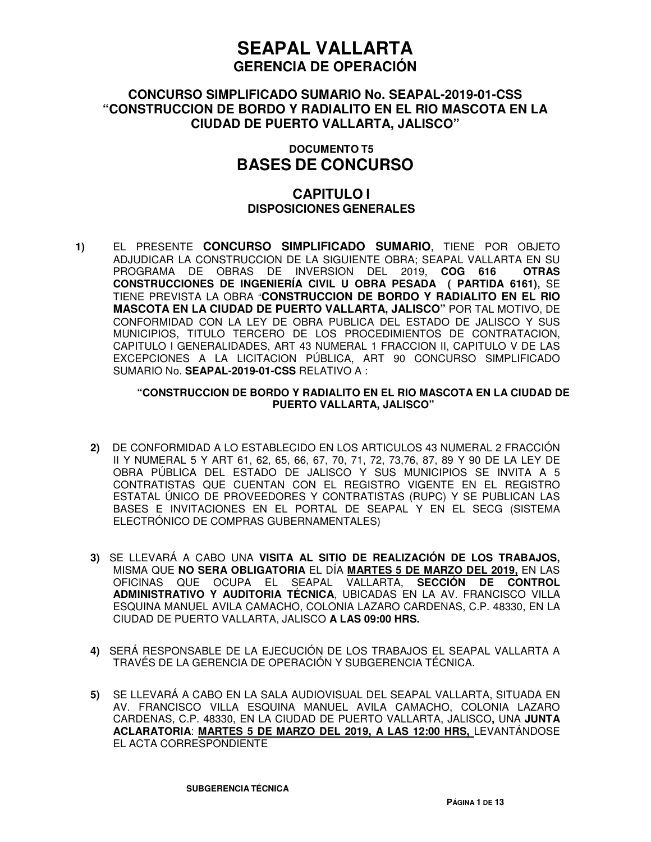### **CONCURSO SIMPLIFICADO SUMARIO No. SEAPAL-2019-01-CSS "CONSTRUCCION DE BORDO Y RADIALITO EN EL RIO MASCOTA EN LA CIUDAD DE PUERTO VALLARTA, JALISCO"**

### **DOCUMENTO T5 BASES DE CONCURSO**

### **CAPITULO I DISPOSICIONES GENERALES**

**1)** EL PRESENTE **CONCURSO SIMPLIFICADO SUMARIO**, TIENE POR OBJETO ADJUDICAR LA CONSTRUCCION DE LA SIGUIENTE OBRA; SEAPAL VALLARTA EN SU PROGRAMA DE OBRAS DE INVERSION DEL 2019, **COG 616 OTRAS CONSTRUCCIONES DE INGENIERÍA CIVIL U OBRA PESADA ( PARTIDA 6161),** SE TIENE PREVISTA LA OBRA "**CONSTRUCCION DE BORDO Y RADIALITO EN EL RIO MASCOTA EN LA CIUDAD DE PUERTO VALLARTA, JALISCO"** POR TAL MOTIVO, DE CONFORMIDAD CON LA LEY DE OBRA PUBLICA DEL ESTADO DE JALISCO Y SUS MUNICIPIOS, TITULO TERCERO DE LOS PROCEDIMIENTOS DE CONTRATACION, CAPITULO I GENERALIDADES, ART 43 NUMERAL 1 FRACCION II, CAPITULO V DE LAS EXCEPCIONES A LA LICITACION PÚBLICA, ART 90 CONCURSO SIMPLIFICADO SUMARIO No. **SEAPAL-2019-01-CSS** RELATIVO A :

#### **"CONSTRUCCION DE BORDO Y RADIALITO EN EL RIO MASCOTA EN LA CIUDAD DE PUERTO VALLARTA, JALISCO"**

- **2)** DE CONFORMIDAD A LO ESTABLECIDO EN LOS ARTICULOS 43 NUMERAL 2 FRACCIÓN II Y NUMERAL 5 Y ART 61, 62, 65, 66, 67, 70, 71, 72, 73,76, 87, 89 Y 90 DE LA LEY DE OBRA PÚBLICA DEL ESTADO DE JALISCO Y SUS MUNICIPIOS SE INVITA A 5 CONTRATISTAS QUE CUENTAN CON EL REGISTRO VIGENTE EN EL REGISTRO ESTATAL ÚNICO DE PROVEEDORES Y CONTRATISTAS (RUPC) Y SE PUBLICAN LAS BASES E INVITACIONES EN EL PORTAL DE SEAPAL Y EN EL SECG (SISTEMA ELECTRÓNICO DE COMPRAS GUBERNAMENTALES)
- **3)** SE LLEVARÁ A CABO UNA **VISITA AL SITIO DE REALIZACIÓN DE LOS TRABAJOS,** MISMA QUE **NO SERA OBLIGATORIA** EL DÍA **MARTES 5 DE MARZO DEL 2019,** EN LAS OFICINAS QUE OCUPA EL SEAPAL VALLARTA, **SECCIÓN DE CONTROL ADMINISTRATIVO Y AUDITORIA TÉCNICA**, UBICADAS EN LA AV. FRANCISCO VILLA ESQUINA MANUEL AVILA CAMACHO, COLONIA LAZARO CARDENAS, C.P. 48330, EN LA CIUDAD DE PUERTO VALLARTA, JALISCO **A LAS 09:00 HRS.**
- **4)** SERÁ RESPONSABLE DE LA EJECUCIÓN DE LOS TRABAJOS EL SEAPAL VALLARTA A TRAVÉS DE LA GERENCIA DE OPERACIÓN Y SUBGERENCIA TÉCNICA.
- **5)** SE LLEVARÁ A CABO EN LA SALA AUDIOVISUAL DEL SEAPAL VALLARTA, SITUADA EN AV. FRANCISCO VILLA ESQUINA MANUEL AVILA CAMACHO, COLONIA LAZARO CARDENAS, C.P. 48330, EN LA CIUDAD DE PUERTO VALLARTA, JALISCO**,** UNA **JUNTA ACLARATORIA**: **MARTES 5 DE MARZO DEL 2019, A LAS 12:00 HRS,** LEVANTÁNDOSE EL ACTA CORRESPONDIENTE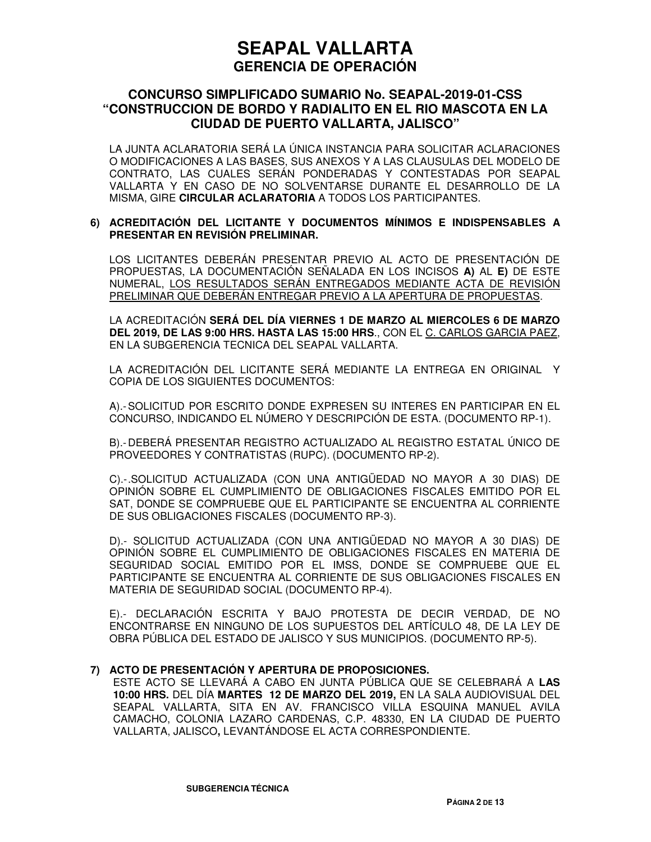### **CONCURSO SIMPLIFICADO SUMARIO No. SEAPAL-2019-01-CSS "CONSTRUCCION DE BORDO Y RADIALITO EN EL RIO MASCOTA EN LA CIUDAD DE PUERTO VALLARTA, JALISCO"**

LA JUNTA ACLARATORIA SERÁ LA ÚNICA INSTANCIA PARA SOLICITAR ACLARACIONES O MODIFICACIONES A LAS BASES, SUS ANEXOS Y A LAS CLAUSULAS DEL MODELO DE CONTRATO, LAS CUALES SERÁN PONDERADAS Y CONTESTADAS POR SEAPAL VALLARTA Y EN CASO DE NO SOLVENTARSE DURANTE EL DESARROLLO DE LA MISMA, GIRE **CIRCULAR ACLARATORIA** A TODOS LOS PARTICIPANTES.

#### **6) ACREDITACIÓN DEL LICITANTE Y DOCUMENTOS MÍNIMOS E INDISPENSABLES A PRESENTAR EN REVISIÓN PRELIMINAR.**

LOS LICITANTES DEBERÁN PRESENTAR PREVIO AL ACTO DE PRESENTACIÓN DE PROPUESTAS, LA DOCUMENTACIÓN SEÑALADA EN LOS INCISOS **A)** AL **E)** DE ESTE NUMERAL, LOS RESULTADOS SERÁN ENTREGADOS MEDIANTE ACTA DE REVISIÓN PRELIMINAR QUE DEBERÁN ENTREGAR PREVIO A LA APERTURA DE PROPUESTAS.

LA ACREDITACIÓN **SERÁ DEL DÍA VIERNES 1 DE MARZO AL MIERCOLES 6 DE MARZO DEL 2019, DE LAS 9:00 HRS. HASTA LAS 15:00 HRS**., CON EL C. CARLOS GARCIA PAEZ, EN LA SUBGERENCIA TECNICA DEL SEAPAL VALLARTA.

LA ACREDITACIÓN DEL LICITANTE SERÁ MEDIANTE LA ENTREGA EN ORIGINAL Y COPIA DE LOS SIGUIENTES DOCUMENTOS:

A).- SOLICITUD POR ESCRITO DONDE EXPRESEN SU INTERES EN PARTICIPAR EN EL CONCURSO, INDICANDO EL NÚMERO Y DESCRIPCIÓN DE ESTA. (DOCUMENTO RP-1).

B).- DEBERÁ PRESENTAR REGISTRO ACTUALIZADO AL REGISTRO ESTATAL ÚNICO DE PROVEEDORES Y CONTRATISTAS (RUPC). (DOCUMENTO RP-2).

C).- .SOLICITUD ACTUALIZADA (CON UNA ANTIGÜEDAD NO MAYOR A 30 DIAS) DE OPINIÓN SOBRE EL CUMPLIMIENTO DE OBLIGACIONES FISCALES EMITIDO POR EL SAT, DONDE SE COMPRUEBE QUE EL PARTICIPANTE SE ENCUENTRA AL CORRIENTE DE SUS OBLIGACIONES FISCALES (DOCUMENTO RP-3).

D).- SOLICITUD ACTUALIZADA (CON UNA ANTIGÜEDAD NO MAYOR A 30 DIAS) DE OPINIÓN SOBRE EL CUMPLIMIENTO DE OBLIGACIONES FISCALES EN MATERIA DE SEGURIDAD SOCIAL EMITIDO POR EL IMSS, DONDE SE COMPRUEBE QUE EL PARTICIPANTE SE ENCUENTRA AL CORRIENTE DE SUS OBLIGACIONES FISCALES EN MATERIA DE SEGURIDAD SOCIAL (DOCUMENTO RP-4).

E).- DECLARACIÓN ESCRITA Y BAJO PROTESTA DE DECIR VERDAD, DE NO ENCONTRARSE EN NINGUNO DE LOS SUPUESTOS DEL ARTÍCULO 48, DE LA LEY DE OBRA PÚBLICA DEL ESTADO DE JALISCO Y SUS MUNICIPIOS. (DOCUMENTO RP-5).

#### **7) ACTO DE PRESENTACIÓN Y APERTURA DE PROPOSICIONES.**

ESTE ACTO SE LLEVARÁ A CABO EN JUNTA PÚBLICA QUE SE CELEBRARÁ A **LAS 10:00 HRS.** DEL DÍA **MARTES 12 DE MARZO DEL 2019,** EN LA SALA AUDIOVISUAL DEL SEAPAL VALLARTA, SITA EN AV. FRANCISCO VILLA ESQUINA MANUEL AVILA CAMACHO, COLONIA LAZARO CARDENAS, C.P. 48330, EN LA CIUDAD DE PUERTO VALLARTA, JALISCO**,** LEVANTÁNDOSE EL ACTA CORRESPONDIENTE.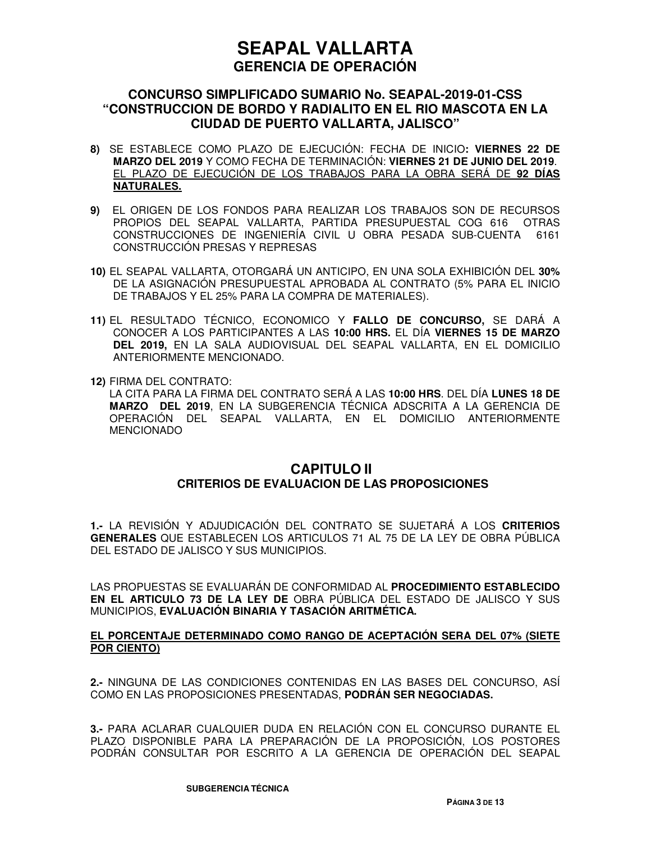### **CONCURSO SIMPLIFICADO SUMARIO No. SEAPAL-2019-01-CSS "CONSTRUCCION DE BORDO Y RADIALITO EN EL RIO MASCOTA EN LA CIUDAD DE PUERTO VALLARTA, JALISCO"**

- **8)** SE ESTABLECE COMO PLAZO DE EJECUCIÓN: FECHA DE INICIO**: VIERNES 22 DE MARZO DEL 2019** Y COMO FECHA DE TERMINACIÓN: **VIERNES 21 DE JUNIO DEL 2019**. EL PLAZO DE EJECUCIÓN DE LOS TRABAJOS PARA LA OBRA SERÁ DE **92 DÍAS NATURALES.**
- **9)** EL ORIGEN DE LOS FONDOS PARA REALIZAR LOS TRABAJOS SON DE RECURSOS PROPIOS DEL SEAPAL VALLARTA, PARTIDA PRESUPUESTAL COG 616 OTRAS CONSTRUCCIONES DE INGENIERÍA CIVIL U OBRA PESADA SUB-CUENTA 6161 CONSTRUCCIÓN PRESAS Y REPRESAS
- **10)** EL SEAPAL VALLARTA, OTORGARÁ UN ANTICIPO, EN UNA SOLA EXHIBICIÓN DEL **30%** DE LA ASIGNACIÓN PRESUPUESTAL APROBADA AL CONTRATO (5% PARA EL INICIO DE TRABAJOS Y EL 25% PARA LA COMPRA DE MATERIALES).
- **11)** EL RESULTADO TÉCNICO, ECONOMICO Y **FALLO DE CONCURSO,** SE DARÁ A CONOCER A LOS PARTICIPANTES A LAS **10:00 HRS.** EL DÍA **VIERNES 15 DE MARZO DEL 2019,** EN LA SALA AUDIOVISUAL DEL SEAPAL VALLARTA, EN EL DOMICILIO ANTERIORMENTE MENCIONADO.
- **12)** FIRMA DEL CONTRATO:

LA CITA PARA LA FIRMA DEL CONTRATO SERÁ A LAS **10:00 HRS**. DEL DÍA **LUNES 18 DE MARZO DEL 2019**, EN LA SUBGERENCIA TÉCNICA ADSCRITA A LA GERENCIA DE OPERACIÓN DEL SEAPAL VALLARTA, EN EL DOMICILIO ANTERIORMENTE MENCIONADO

### **CAPITULO II CRITERIOS DE EVALUACION DE LAS PROPOSICIONES**

**1.-** LA REVISIÓN Y ADJUDICACIÓN DEL CONTRATO SE SUJETARÁ A LOS **CRITERIOS GENERALES** QUE ESTABLECEN LOS ARTICULOS 71 AL 75 DE LA LEY DE OBRA PÚBLICA DEL ESTADO DE JALISCO Y SUS MUNICIPIOS.

LAS PROPUESTAS SE EVALUARÁN DE CONFORMIDAD AL **PROCEDIMIENTO ESTABLECIDO EN EL ARTICULO 73 DE LA LEY DE** OBRA PÚBLICA DEL ESTADO DE JALISCO Y SUS MUNICIPIOS, **EVALUACIÓN BINARIA Y TASACIÓN ARITMÉTICA.** 

#### **EL PORCENTAJE DETERMINADO COMO RANGO DE ACEPTACIÓN SERA DEL 07% (SIETE POR CIENTO)**

**2.-** NINGUNA DE LAS CONDICIONES CONTENIDAS EN LAS BASES DEL CONCURSO, ASÍ COMO EN LAS PROPOSICIONES PRESENTADAS, **PODRÁN SER NEGOCIADAS.**

**3.-** PARA ACLARAR CUALQUIER DUDA EN RELACIÓN CON EL CONCURSO DURANTE EL PLAZO DISPONIBLE PARA LA PREPARACIÓN DE LA PROPOSICIÓN, LOS POSTORES PODRÁN CONSULTAR POR ESCRITO A LA GERENCIA DE OPERACIÓN DEL SEAPAL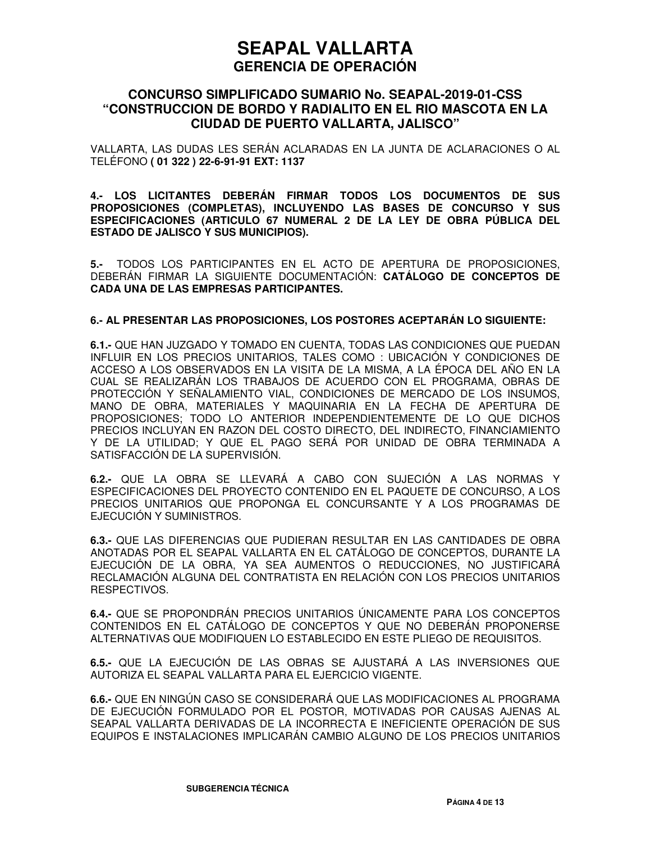### **CONCURSO SIMPLIFICADO SUMARIO No. SEAPAL-2019-01-CSS "CONSTRUCCION DE BORDO Y RADIALITO EN EL RIO MASCOTA EN LA CIUDAD DE PUERTO VALLARTA, JALISCO"**

VALLARTA, LAS DUDAS LES SERÁN ACLARADAS EN LA JUNTA DE ACLARACIONES O AL TELÉFONO **( 01 322 ) 22-6-91-91 EXT: 1137**

**4.- LOS LICITANTES DEBERÁN FIRMAR TODOS LOS DOCUMENTOS DE SUS PROPOSICIONES (COMPLETAS), INCLUYENDO LAS BASES DE CONCURSO Y SUS ESPECIFICACIONES (ARTICULO 67 NUMERAL 2 DE LA LEY DE OBRA PÚBLICA DEL ESTADO DE JALISCO Y SUS MUNICIPIOS).** 

**5.-** TODOS LOS PARTICIPANTES EN EL ACTO DE APERTURA DE PROPOSICIONES, DEBERÁN FIRMAR LA SIGUIENTE DOCUMENTACIÓN: **CATÁLOGO DE CONCEPTOS DE CADA UNA DE LAS EMPRESAS PARTICIPANTES.**

#### **6.- AL PRESENTAR LAS PROPOSICIONES, LOS POSTORES ACEPTARÁN LO SIGUIENTE:**

**6.1.-** QUE HAN JUZGADO Y TOMADO EN CUENTA, TODAS LAS CONDICIONES QUE PUEDAN INFLUIR EN LOS PRECIOS UNITARIOS, TALES COMO : UBICACIÓN Y CONDICIONES DE ACCESO A LOS OBSERVADOS EN LA VISITA DE LA MISMA, A LA ÉPOCA DEL AÑO EN LA CUAL SE REALIZARÁN LOS TRABAJOS DE ACUERDO CON EL PROGRAMA, OBRAS DE PROTECCIÓN Y SEÑALAMIENTO VIAL, CONDICIONES DE MERCADO DE LOS INSUMOS, MANO DE OBRA, MATERIALES Y MAQUINARIA EN LA FECHA DE APERTURA DE PROPOSICIONES; TODO LO ANTERIOR INDEPENDIENTEMENTE DE LO QUE DICHOS PRECIOS INCLUYAN EN RAZON DEL COSTO DIRECTO, DEL INDIRECTO, FINANCIAMIENTO Y DE LA UTILIDAD; Y QUE EL PAGO SERÁ POR UNIDAD DE OBRA TERMINADA A SATISFACCIÓN DE LA SUPERVISIÓN.

**6.2.-** QUE LA OBRA SE LLEVARÁ A CABO CON SUJECIÓN A LAS NORMAS Y ESPECIFICACIONES DEL PROYECTO CONTENIDO EN EL PAQUETE DE CONCURSO, A LOS PRECIOS UNITARIOS QUE PROPONGA EL CONCURSANTE Y A LOS PROGRAMAS DE EJECUCIÓN Y SUMINISTROS.

**6.3.-** QUE LAS DIFERENCIAS QUE PUDIERAN RESULTAR EN LAS CANTIDADES DE OBRA ANOTADAS POR EL SEAPAL VALLARTA EN EL CATÁLOGO DE CONCEPTOS, DURANTE LA EJECUCIÓN DE LA OBRA, YA SEA AUMENTOS O REDUCCIONES, NO JUSTIFICARÁ RECLAMACIÓN ALGUNA DEL CONTRATISTA EN RELACIÓN CON LOS PRECIOS UNITARIOS RESPECTIVOS.

**6.4.-** QUE SE PROPONDRÁN PRECIOS UNITARIOS ÚNICAMENTE PARA LOS CONCEPTOS CONTENIDOS EN EL CATÁLOGO DE CONCEPTOS Y QUE NO DEBERÁN PROPONERSE ALTERNATIVAS QUE MODIFIQUEN LO ESTABLECIDO EN ESTE PLIEGO DE REQUISITOS.

**6.5.-** QUE LA EJECUCIÓN DE LAS OBRAS SE AJUSTARÁ A LAS INVERSIONES QUE AUTORIZA EL SEAPAL VALLARTA PARA EL EJERCICIO VIGENTE.

**6.6.-** QUE EN NINGÚN CASO SE CONSIDERARÁ QUE LAS MODIFICACIONES AL PROGRAMA DE EJECUCIÓN FORMULADO POR EL POSTOR, MOTIVADAS POR CAUSAS AJENAS AL SEAPAL VALLARTA DERIVADAS DE LA INCORRECTA E INEFICIENTE OPERACIÓN DE SUS EQUIPOS E INSTALACIONES IMPLICARÁN CAMBIO ALGUNO DE LOS PRECIOS UNITARIOS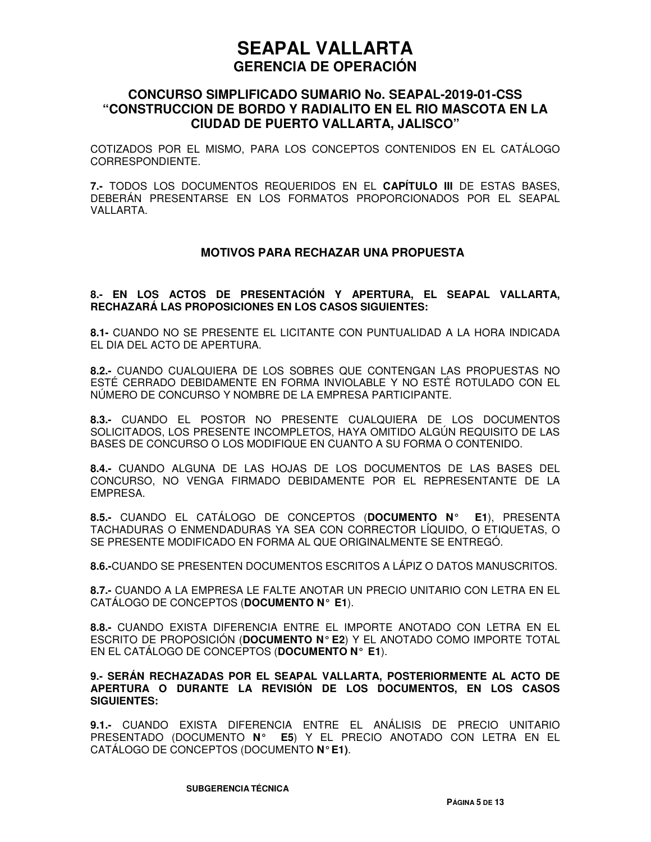### **CONCURSO SIMPLIFICADO SUMARIO No. SEAPAL-2019-01-CSS "CONSTRUCCION DE BORDO Y RADIALITO EN EL RIO MASCOTA EN LA CIUDAD DE PUERTO VALLARTA, JALISCO"**

COTIZADOS POR EL MISMO, PARA LOS CONCEPTOS CONTENIDOS EN EL CATÁLOGO CORRESPONDIENTE.

**7.-** TODOS LOS DOCUMENTOS REQUERIDOS EN EL **CAPÍTULO III** DE ESTAS BASES, DEBERÁN PRESENTARSE EN LOS FORMATOS PROPORCIONADOS POR EL SEAPAL VALLARTA.

#### **MOTIVOS PARA RECHAZAR UNA PROPUESTA**

#### **8.- EN LOS ACTOS DE PRESENTACIÓN Y APERTURA, EL SEAPAL VALLARTA, RECHAZARÁ LAS PROPOSICIONES EN LOS CASOS SIGUIENTES:**

**8.1-** CUANDO NO SE PRESENTE EL LICITANTE CON PUNTUALIDAD A LA HORA INDICADA EL DIA DEL ACTO DE APERTURA.

**8.2.-** CUANDO CUALQUIERA DE LOS SOBRES QUE CONTENGAN LAS PROPUESTAS NO ESTÉ CERRADO DEBIDAMENTE EN FORMA INVIOLABLE Y NO ESTÉ ROTULADO CON EL NÚMERO DE CONCURSO Y NOMBRE DE LA EMPRESA PARTICIPANTE.

**8.3.-** CUANDO EL POSTOR NO PRESENTE CUALQUIERA DE LOS DOCUMENTOS SOLICITADOS, LOS PRESENTE INCOMPLETOS, HAYA OMITIDO ALGÚN REQUISITO DE LAS BASES DE CONCURSO O LOS MODIFIQUE EN CUANTO A SU FORMA O CONTENIDO.

**8.4.-** CUANDO ALGUNA DE LAS HOJAS DE LOS DOCUMENTOS DE LAS BASES DEL CONCURSO, NO VENGA FIRMADO DEBIDAMENTE POR EL REPRESENTANTE DE LA EMPRESA.

**8.5.-** CUANDO EL CATÁLOGO DE CONCEPTOS (**DOCUMENTO N° E1**), PRESENTA TACHADURAS O ENMENDADURAS YA SEA CON CORRECTOR LÍQUIDO, O ETIQUETAS, O SE PRESENTE MODIFICADO EN FORMA AL QUE ORIGINALMENTE SE ENTREGÓ.

**8.6.-**CUANDO SE PRESENTEN DOCUMENTOS ESCRITOS A LÁPIZ O DATOS MANUSCRITOS.

**8.7.-** CUANDO A LA EMPRESA LE FALTE ANOTAR UN PRECIO UNITARIO CON LETRA EN EL CATÁLOGO DE CONCEPTOS (**DOCUMENTO N° E1**).

**8.8.-** CUANDO EXISTA DIFERENCIA ENTRE EL IMPORTE ANOTADO CON LETRA EN EL ESCRITO DE PROPOSICIÓN (**DOCUMENTO N° E2**) Y EL ANOTADO COMO IMPORTE TOTAL EN EL CATÁLOGO DE CONCEPTOS (**DOCUMENTO N° E1**).

#### **9.- SERÁN RECHAZADAS POR EL SEAPAL VALLARTA, POSTERIORMENTE AL ACTO DE APERTURA O DURANTE LA REVISIÓN DE LOS DOCUMENTOS, EN LOS CASOS SIGUIENTES:**

**9.1.-** CUANDO EXISTA DIFERENCIA ENTRE EL ANÁLISIS DE PRECIO UNITARIO PRESENTADO (DOCUMENTO **N° E5**) Y EL PRECIO ANOTADO CON LETRA EN EL CATÁLOGO DE CONCEPTOS (DOCUMENTO **N° E1)**.

**SUBGERENCIA TÉCNICA**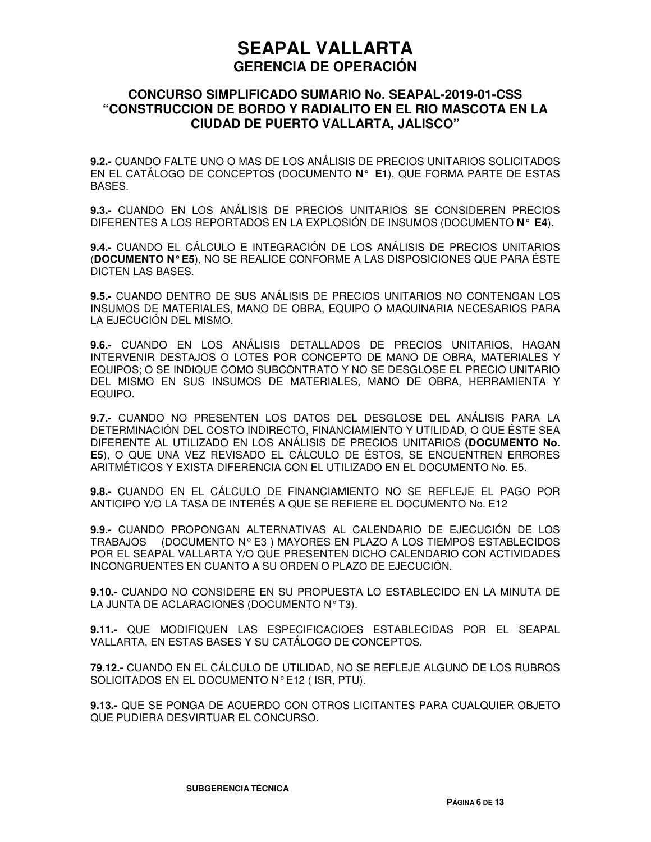### **CONCURSO SIMPLIFICADO SUMARIO No. SEAPAL-2019-01-CSS "CONSTRUCCION DE BORDO Y RADIALITO EN EL RIO MASCOTA EN LA CIUDAD DE PUERTO VALLARTA, JALISCO"**

**9.2.-** CUANDO FALTE UNO O MAS DE LOS ANÁLISIS DE PRECIOS UNITARIOS SOLICITADOS EN EL CATÁLOGO DE CONCEPTOS (DOCUMENTO **N° E1**), QUE FORMA PARTE DE ESTAS BASES.

**9.3.-** CUANDO EN LOS ANÁLISIS DE PRECIOS UNITARIOS SE CONSIDEREN PRECIOS DIFERENTES A LOS REPORTADOS EN LA EXPLOSIÓN DE INSUMOS (DOCUMENTO **N° E4**).

**9.4.-** CUANDO EL CÁLCULO E INTEGRACIÓN DE LOS ANÁLISIS DE PRECIOS UNITARIOS (**DOCUMENTO N° E5**), NO SE REALICE CONFORME A LAS DISPOSICIONES QUE PARA ÉSTE DICTEN LAS BASES.

**9.5.-** CUANDO DENTRO DE SUS ANÁLISIS DE PRECIOS UNITARIOS NO CONTENGAN LOS INSUMOS DE MATERIALES, MANO DE OBRA, EQUIPO O MAQUINARIA NECESARIOS PARA LA EJECUCIÓN DEL MISMO.

**9.6.-** CUANDO EN LOS ANÁLISIS DETALLADOS DE PRECIOS UNITARIOS, HAGAN INTERVENIR DESTAJOS O LOTES POR CONCEPTO DE MANO DE OBRA, MATERIALES Y EQUIPOS; O SE INDIQUE COMO SUBCONTRATO Y NO SE DESGLOSE EL PRECIO UNITARIO DEL MISMO EN SUS INSUMOS DE MATERIALES, MANO DE OBRA, HERRAMIENTA Y EQUIPO.

**9.7.-** CUANDO NO PRESENTEN LOS DATOS DEL DESGLOSE DEL ANÁLISIS PARA LA DETERMINACIÓN DEL COSTO INDIRECTO, FINANCIAMIENTO Y UTILIDAD, O QUE ÉSTE SEA DIFERENTE AL UTILIZADO EN LOS ANÁLISIS DE PRECIOS UNITARIOS **(DOCUMENTO No. E5**), O QUE UNA VEZ REVISADO EL CÁLCULO DE ÉSTOS, SE ENCUENTREN ERRORES ARITMÉTICOS Y EXISTA DIFERENCIA CON EL UTILIZADO EN EL DOCUMENTO No. E5.

**9.8.-** CUANDO EN EL CÁLCULO DE FINANCIAMIENTO NO SE REFLEJE EL PAGO POR ANTICIPO Y/O LA TASA DE INTERÉS A QUE SE REFIERE EL DOCUMENTO No. E12

**9.9.-** CUANDO PROPONGAN ALTERNATIVAS AL CALENDARIO DE EJECUCIÓN DE LOS TRABAJOS (DOCUMENTO N° E3 ) MAYORES EN PLAZO A LOS TIEMPOS ESTABLECIDOS POR EL SEAPAL VALLARTA Y/O QUE PRESENTEN DICHO CALENDARIO CON ACTIVIDADES INCONGRUENTES EN CUANTO A SU ORDEN O PLAZO DE EJECUCIÓN.

**9.10.-** CUANDO NO CONSIDERE EN SU PROPUESTA LO ESTABLECIDO EN LA MINUTA DE LA JUNTA DE ACLARACIONES (DOCUMENTO N° T3).

**9.11.-** QUE MODIFIQUEN LAS ESPECIFICACIOES ESTABLECIDAS POR EL SEAPAL VALLARTA, EN ESTAS BASES Y SU CATÁLOGO DE CONCEPTOS.

**79.12.-** CUANDO EN EL CÁLCULO DE UTILIDAD, NO SE REFLEJE ALGUNO DE LOS RUBROS SOLICITADOS EN EL DOCUMENTO N° E12 ( ISR, PTU).

**9.13.-** QUE SE PONGA DE ACUERDO CON OTROS LICITANTES PARA CUALQUIER OBJETO QUE PUDIERA DESVIRTUAR EL CONCURSO.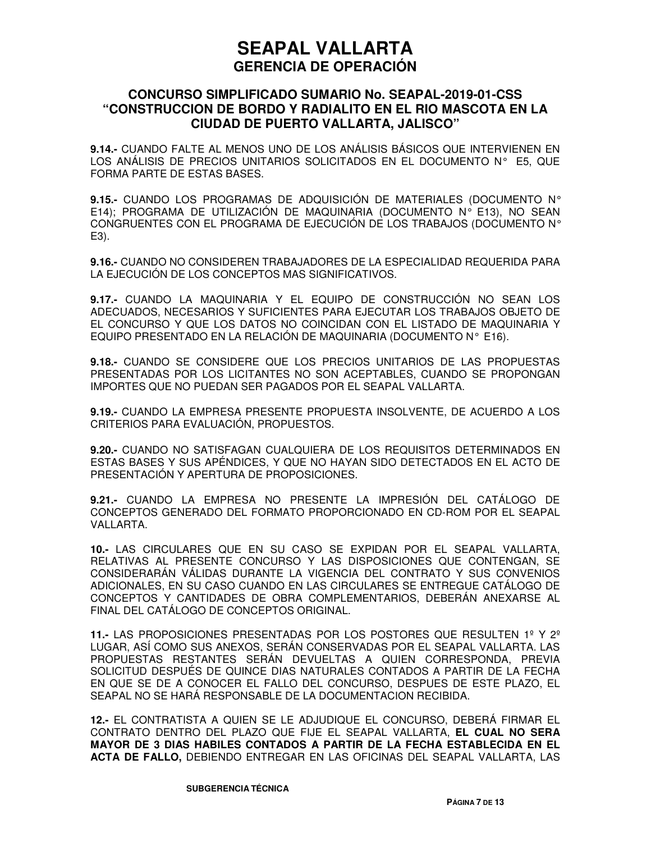### **CONCURSO SIMPLIFICADO SUMARIO No. SEAPAL-2019-01-CSS "CONSTRUCCION DE BORDO Y RADIALITO EN EL RIO MASCOTA EN LA CIUDAD DE PUERTO VALLARTA, JALISCO"**

**9.14.-** CUANDO FALTE AL MENOS UNO DE LOS ANÁLISIS BÁSICOS QUE INTERVIENEN EN LOS ANÁLISIS DE PRECIOS UNITARIOS SOLICITADOS EN EL DOCUMENTO N° E5, QUE FORMA PARTE DE ESTAS BASES.

**9.15.-** CUANDO LOS PROGRAMAS DE ADQUISICIÓN DE MATERIALES (DOCUMENTO N° E14); PROGRAMA DE UTILIZACIÓN DE MAQUINARIA (DOCUMENTO N° E13), NO SEAN CONGRUENTES CON EL PROGRAMA DE EJECUCIÓN DE LOS TRABAJOS (DOCUMENTO N° E3).

**9.16.-** CUANDO NO CONSIDEREN TRABAJADORES DE LA ESPECIALIDAD REQUERIDA PARA LA EJECUCIÓN DE LOS CONCEPTOS MAS SIGNIFICATIVOS.

**9.17.-** CUANDO LA MAQUINARIA Y EL EQUIPO DE CONSTRUCCIÓN NO SEAN LOS ADECUADOS, NECESARIOS Y SUFICIENTES PARA EJECUTAR LOS TRABAJOS OBJETO DE EL CONCURSO Y QUE LOS DATOS NO COINCIDAN CON EL LISTADO DE MAQUINARIA Y EQUIPO PRESENTADO EN LA RELACIÓN DE MAQUINARIA (DOCUMENTO N° E16).

**9.18.-** CUANDO SE CONSIDERE QUE LOS PRECIOS UNITARIOS DE LAS PROPUESTAS PRESENTADAS POR LOS LICITANTES NO SON ACEPTABLES, CUANDO SE PROPONGAN IMPORTES QUE NO PUEDAN SER PAGADOS POR EL SEAPAL VALLARTA.

**9.19.-** CUANDO LA EMPRESA PRESENTE PROPUESTA INSOLVENTE, DE ACUERDO A LOS CRITERIOS PARA EVALUACIÓN, PROPUESTOS.

**9.20.-** CUANDO NO SATISFAGAN CUALQUIERA DE LOS REQUISITOS DETERMINADOS EN ESTAS BASES Y SUS APÉNDICES, Y QUE NO HAYAN SIDO DETECTADOS EN EL ACTO DE PRESENTACIÓN Y APERTURA DE PROPOSICIONES.

**9.21.-** CUANDO LA EMPRESA NO PRESENTE LA IMPRESIÓN DEL CATÁLOGO DE CONCEPTOS GENERADO DEL FORMATO PROPORCIONADO EN CD-ROM POR EL SEAPAL VALLARTA.

**10.-** LAS CIRCULARES QUE EN SU CASO SE EXPIDAN POR EL SEAPAL VALLARTA, RELATIVAS AL PRESENTE CONCURSO Y LAS DISPOSICIONES QUE CONTENGAN, SE CONSIDERARÁN VÁLIDAS DURANTE LA VIGENCIA DEL CONTRATO Y SUS CONVENIOS ADICIONALES, EN SU CASO CUANDO EN LAS CIRCULARES SE ENTREGUE CATÁLOGO DE CONCEPTOS Y CANTIDADES DE OBRA COMPLEMENTARIOS, DEBERÁN ANEXARSE AL FINAL DEL CATÁLOGO DE CONCEPTOS ORIGINAL.

**11.-** LAS PROPOSICIONES PRESENTADAS POR LOS POSTORES QUE RESULTEN 1º Y 2º LUGAR, ASÍ COMO SUS ANEXOS, SERÁN CONSERVADAS POR EL SEAPAL VALLARTA. LAS PROPUESTAS RESTANTES SERÁN DEVUELTAS A QUIEN CORRESPONDA, PREVIA SOLICITUD DESPUÉS DE QUINCE DIAS NATURALES CONTADOS A PARTIR DE LA FECHA EN QUE SE DE A CONOCER EL FALLO DEL CONCURSO, DESPUES DE ESTE PLAZO, EL SEAPAL NO SE HARÁ RESPONSABLE DE LA DOCUMENTACION RECIBIDA.

**12.-** EL CONTRATISTA A QUIEN SE LE ADJUDIQUE EL CONCURSO, DEBERÁ FIRMAR EL CONTRATO DENTRO DEL PLAZO QUE FIJE EL SEAPAL VALLARTA, **EL CUAL NO SERA MAYOR DE 3 DIAS HABILES CONTADOS A PARTIR DE LA FECHA ESTABLECIDA EN EL ACTA DE FALLO,** DEBIENDO ENTREGAR EN LAS OFICINAS DEL SEAPAL VALLARTA, LAS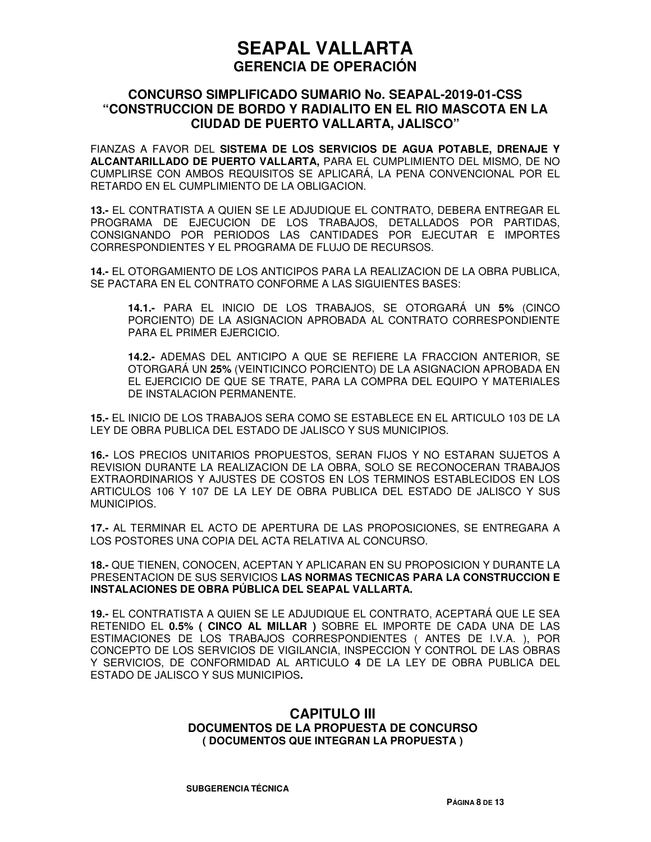### **CONCURSO SIMPLIFICADO SUMARIO No. SEAPAL-2019-01-CSS "CONSTRUCCION DE BORDO Y RADIALITO EN EL RIO MASCOTA EN LA CIUDAD DE PUERTO VALLARTA, JALISCO"**

FIANZAS A FAVOR DEL **SISTEMA DE LOS SERVICIOS DE AGUA POTABLE, DRENAJE Y ALCANTARILLADO DE PUERTO VALLARTA,** PARA EL CUMPLIMIENTO DEL MISMO, DE NO CUMPLIRSE CON AMBOS REQUISITOS SE APLICARÁ, LA PENA CONVENCIONAL POR EL RETARDO EN EL CUMPLIMIENTO DE LA OBLIGACION.

**13.-** EL CONTRATISTA A QUIEN SE LE ADJUDIQUE EL CONTRATO, DEBERA ENTREGAR EL PROGRAMA DE EJECUCION DE LOS TRABAJOS, DETALLADOS POR PARTIDAS, CONSIGNANDO POR PERIODOS LAS CANTIDADES POR EJECUTAR E IMPORTES CORRESPONDIENTES Y EL PROGRAMA DE FLUJO DE RECURSOS.

**14.-** EL OTORGAMIENTO DE LOS ANTICIPOS PARA LA REALIZACION DE LA OBRA PUBLICA, SE PACTARA EN EL CONTRATO CONFORME A LAS SIGUIENTES BASES:

**14.1.-** PARA EL INICIO DE LOS TRABAJOS, SE OTORGARÁ UN **5%** (CINCO PORCIENTO) DE LA ASIGNACION APROBADA AL CONTRATO CORRESPONDIENTE PARA EL PRIMER EJERCICIO.

**14.2.-** ADEMAS DEL ANTICIPO A QUE SE REFIERE LA FRACCION ANTERIOR, SE OTORGARÁ UN **25%** (VEINTICINCO PORCIENTO) DE LA ASIGNACION APROBADA EN EL EJERCICIO DE QUE SE TRATE, PARA LA COMPRA DEL EQUIPO Y MATERIALES DE INSTALACION PERMANENTE.

**15.-** EL INICIO DE LOS TRABAJOS SERA COMO SE ESTABLECE EN EL ARTICULO 103 DE LA LEY DE OBRA PUBLICA DEL ESTADO DE JALISCO Y SUS MUNICIPIOS.

**16.-** LOS PRECIOS UNITARIOS PROPUESTOS, SERAN FIJOS Y NO ESTARAN SUJETOS A REVISION DURANTE LA REALIZACION DE LA OBRA, SOLO SE RECONOCERAN TRABAJOS EXTRAORDINARIOS Y AJUSTES DE COSTOS EN LOS TERMINOS ESTABLECIDOS EN LOS ARTICULOS 106 Y 107 DE LA LEY DE OBRA PUBLICA DEL ESTADO DE JALISCO Y SUS MUNICIPIOS.

**17.-** AL TERMINAR EL ACTO DE APERTURA DE LAS PROPOSICIONES, SE ENTREGARA A LOS POSTORES UNA COPIA DEL ACTA RELATIVA AL CONCURSO.

**18.-** QUE TIENEN, CONOCEN, ACEPTAN Y APLICARAN EN SU PROPOSICION Y DURANTE LA PRESENTACION DE SUS SERVICIOS **LAS NORMAS TECNICAS PARA LA CONSTRUCCION E INSTALACIONES DE OBRA PÚBLICA DEL SEAPAL VALLARTA.**

**19.-** EL CONTRATISTA A QUIEN SE LE ADJUDIQUE EL CONTRATO, ACEPTARÁ QUE LE SEA RETENIDO EL **0.5% ( CINCO AL MILLAR )** SOBRE EL IMPORTE DE CADA UNA DE LAS ESTIMACIONES DE LOS TRABAJOS CORRESPONDIENTES ( ANTES DE I.V.A. ), POR CONCEPTO DE LOS SERVICIOS DE VIGILANCIA, INSPECCION Y CONTROL DE LAS OBRAS Y SERVICIOS, DE CONFORMIDAD AL ARTICULO **4** DE LA LEY DE OBRA PUBLICA DEL ESTADO DE JALISCO Y SUS MUNICIPIOS**.**

#### **CAPITULO III DOCUMENTOS DE LA PROPUESTA DE CONCURSO ( DOCUMENTOS QUE INTEGRAN LA PROPUESTA )**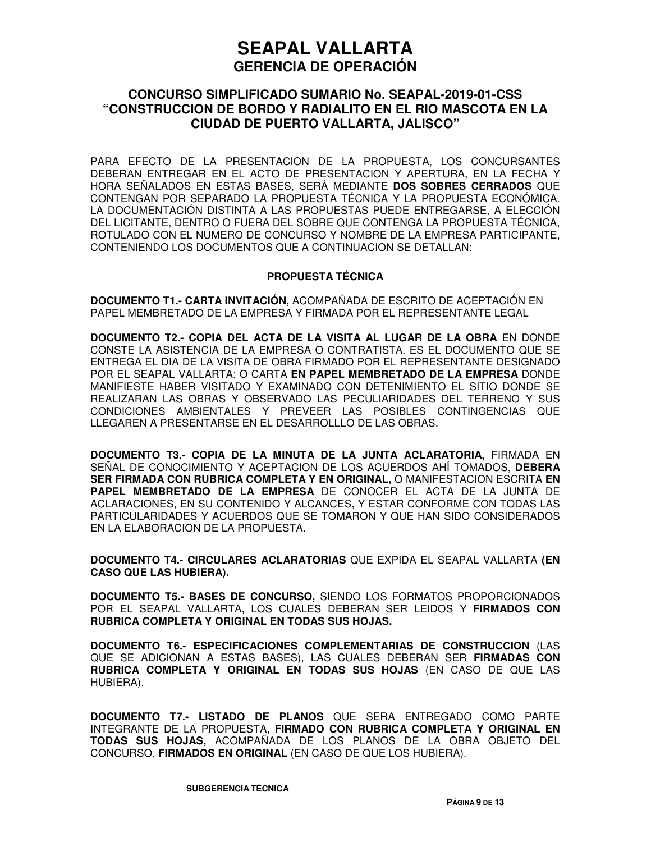### **CONCURSO SIMPLIFICADO SUMARIO No. SEAPAL-2019-01-CSS "CONSTRUCCION DE BORDO Y RADIALITO EN EL RIO MASCOTA EN LA CIUDAD DE PUERTO VALLARTA, JALISCO"**

PARA EFECTO DE LA PRESENTACION DE LA PROPUESTA, LOS CONCURSANTES DEBERAN ENTREGAR EN EL ACTO DE PRESENTACION Y APERTURA, EN LA FECHA Y HORA SEÑALADOS EN ESTAS BASES, SERÁ MEDIANTE **DOS SOBRES CERRADOS** QUE CONTENGAN POR SEPARADO LA PROPUESTA TÉCNICA Y LA PROPUESTA ECONÓMICA. LA DOCUMENTACIÓN DISTINTA A LAS PROPUESTAS PUEDE ENTREGARSE, A ELECCIÓN DEL LICITANTE, DENTRO O FUERA DEL SOBRE QUE CONTENGA LA PROPUESTA TÉCNICA, ROTULADO CON EL NUMERO DE CONCURSO Y NOMBRE DE LA EMPRESA PARTICIPANTE, CONTENIENDO LOS DOCUMENTOS QUE A CONTINUACION SE DETALLAN:

#### **PROPUESTA TÉCNICA**

**DOCUMENTO T1.- CARTA INVITACIÓN,** ACOMPAÑADA DE ESCRITO DE ACEPTACIÓN EN PAPEL MEMBRETADO DE LA EMPRESA Y FIRMADA POR EL REPRESENTANTE LEGAL

**DOCUMENTO T2.- COPIA DEL ACTA DE LA VISITA AL LUGAR DE LA OBRA** EN DONDE CONSTE LA ASISTENCIA DE LA EMPRESA O CONTRATISTA. ES EL DOCUMENTO QUE SE ENTREGA EL DIA DE LA VISITA DE OBRA FIRMADO POR EL REPRESENTANTE DESIGNADO POR EL SEAPAL VALLARTA; O CARTA **EN PAPEL MEMBRETADO DE LA EMPRESA** DONDE MANIFIESTE HABER VISITADO Y EXAMINADO CON DETENIMIENTO EL SITIO DONDE SE REALIZARAN LAS OBRAS Y OBSERVADO LAS PECULIARIDADES DEL TERRENO Y SUS CONDICIONES AMBIENTALES Y PREVEER LAS POSIBLES CONTINGENCIAS QUE LLEGAREN A PRESENTARSE EN EL DESARROLLLO DE LAS OBRAS.

**DOCUMENTO T3.- COPIA DE LA MINUTA DE LA JUNTA ACLARATORIA,** FIRMADA EN SEÑAL DE CONOCIMIENTO Y ACEPTACION DE LOS ACUERDOS AHÍ TOMADOS, **DEBERA SER FIRMADA CON RUBRICA COMPLETA Y EN ORIGINAL,** O MANIFESTACION ESCRITA **EN PAPEL MEMBRETADO DE LA EMPRESA** DE CONOCER EL ACTA DE LA JUNTA DE ACLARACIONES, EN SU CONTENIDO Y ALCANCES, Y ESTAR CONFORME CON TODAS LAS PARTICULARIDADES Y ACUERDOS QUE SE TOMARON Y QUE HAN SIDO CONSIDERADOS EN LA ELABORACION DE LA PROPUESTA**.**

**DOCUMENTO T4.- CIRCULARES ACLARATORIAS** QUE EXPIDA EL SEAPAL VALLARTA **(EN CASO QUE LAS HUBIERA).** 

**DOCUMENTO T5.- BASES DE CONCURSO,** SIENDO LOS FORMATOS PROPORCIONADOS POR EL SEAPAL VALLARTA, LOS CUALES DEBERAN SER LEIDOS Y **FIRMADOS CON RUBRICA COMPLETA Y ORIGINAL EN TODAS SUS HOJAS.**

**DOCUMENTO T6.- ESPECIFICACIONES COMPLEMENTARIAS DE CONSTRUCCION** (LAS QUE SE ADICIONAN A ESTAS BASES), LAS CUALES DEBERAN SER **FIRMADAS CON RUBRICA COMPLETA Y ORIGINAL EN TODAS SUS HOJAS** (EN CASO DE QUE LAS HUBIERA).

**DOCUMENTO T7.- LISTADO DE PLANOS** QUE SERA ENTREGADO COMO PARTE INTEGRANTE DE LA PROPUESTA, **FIRMADO CON RUBRICA COMPLETA Y ORIGINAL EN TODAS SUS HOJAS,** ACOMPAÑADA DE LOS PLANOS DE LA OBRA OBJETO DEL CONCURSO, **FIRMADOS EN ORIGINAL** (EN CASO DE QUE LOS HUBIERA).

**SUBGERENCIA TÉCNICA**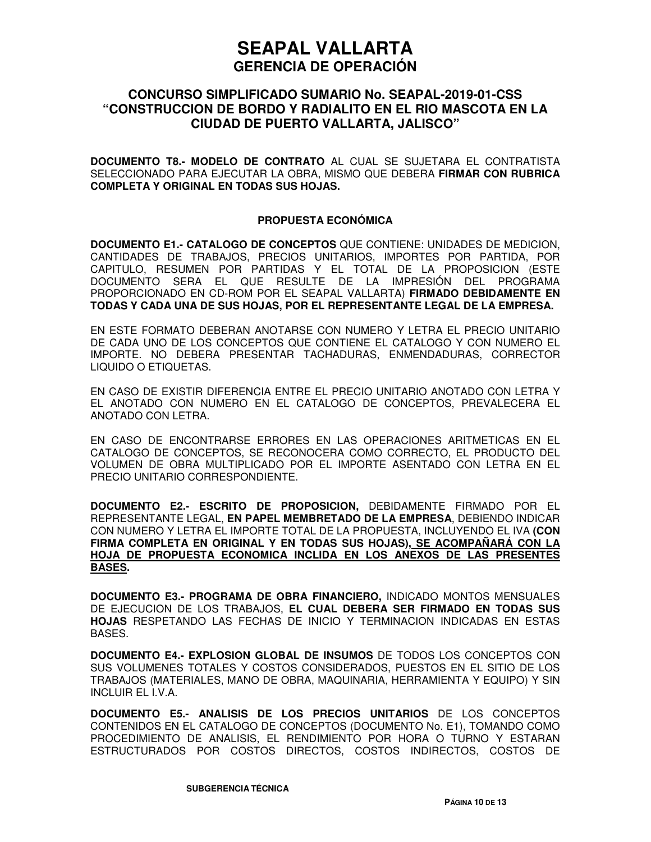### **CONCURSO SIMPLIFICADO SUMARIO No. SEAPAL-2019-01-CSS "CONSTRUCCION DE BORDO Y RADIALITO EN EL RIO MASCOTA EN LA CIUDAD DE PUERTO VALLARTA, JALISCO"**

**DOCUMENTO T8.- MODELO DE CONTRATO** AL CUAL SE SUJETARA EL CONTRATISTA SELECCIONADO PARA EJECUTAR LA OBRA, MISMO QUE DEBERA **FIRMAR CON RUBRICA COMPLETA Y ORIGINAL EN TODAS SUS HOJAS.**

#### **PROPUESTA ECONÓMICA**

**DOCUMENTO E1.- CATALOGO DE CONCEPTOS** QUE CONTIENE: UNIDADES DE MEDICION, CANTIDADES DE TRABAJOS, PRECIOS UNITARIOS, IMPORTES POR PARTIDA, POR CAPITULO, RESUMEN POR PARTIDAS Y EL TOTAL DE LA PROPOSICION (ESTE DOCUMENTO SERA EL QUE RESULTE DE LA IMPRESIÓN DEL PROGRAMA PROPORCIONADO EN CD-ROM POR EL SEAPAL VALLARTA) **FIRMADO DEBIDAMENTE EN TODAS Y CADA UNA DE SUS HOJAS, POR EL REPRESENTANTE LEGAL DE LA EMPRESA.**

EN ESTE FORMATO DEBERAN ANOTARSE CON NUMERO Y LETRA EL PRECIO UNITARIO DE CADA UNO DE LOS CONCEPTOS QUE CONTIENE EL CATALOGO Y CON NUMERO EL IMPORTE. NO DEBERA PRESENTAR TACHADURAS, ENMENDADURAS, CORRECTOR LIQUIDO O ETIQUETAS.

EN CASO DE EXISTIR DIFERENCIA ENTRE EL PRECIO UNITARIO ANOTADO CON LETRA Y EL ANOTADO CON NUMERO EN EL CATALOGO DE CONCEPTOS, PREVALECERA EL ANOTADO CON LETRA.

EN CASO DE ENCONTRARSE ERRORES EN LAS OPERACIONES ARITMETICAS EN EL CATALOGO DE CONCEPTOS, SE RECONOCERA COMO CORRECTO, EL PRODUCTO DEL VOLUMEN DE OBRA MULTIPLICADO POR EL IMPORTE ASENTADO CON LETRA EN EL PRECIO UNITARIO CORRESPONDIENTE.

**DOCUMENTO E2.- ESCRITO DE PROPOSICION,** DEBIDAMENTE FIRMADO POR EL REPRESENTANTE LEGAL, **EN PAPEL MEMBRETADO DE LA EMPRESA**, DEBIENDO INDICAR CON NUMERO Y LETRA EL IMPORTE TOTAL DE LA PROPUESTA, INCLUYENDO EL IVA **(CON FIRMA COMPLETA EN ORIGINAL Y EN TODAS SUS HOJAS), SE ACOMPAÑARÁ CON LA HOJA DE PROPUESTA ECONOMICA INCLIDA EN LOS ANEXOS DE LAS PRESENTES BASES.**

**DOCUMENTO E3.- PROGRAMA DE OBRA FINANCIERO,** INDICADO MONTOS MENSUALES DE EJECUCION DE LOS TRABAJOS, **EL CUAL DEBERA SER FIRMADO EN TODAS SUS HOJAS** RESPETANDO LAS FECHAS DE INICIO Y TERMINACION INDICADAS EN ESTAS BASES.

**DOCUMENTO E4.- EXPLOSION GLOBAL DE INSUMOS** DE TODOS LOS CONCEPTOS CON SUS VOLUMENES TOTALES Y COSTOS CONSIDERADOS, PUESTOS EN EL SITIO DE LOS TRABAJOS (MATERIALES, MANO DE OBRA, MAQUINARIA, HERRAMIENTA Y EQUIPO) Y SIN INCLUIR EL I.V.A.

**DOCUMENTO E5.- ANALISIS DE LOS PRECIOS UNITARIOS** DE LOS CONCEPTOS CONTENIDOS EN EL CATALOGO DE CONCEPTOS (DOCUMENTO No. E1), TOMANDO COMO PROCEDIMIENTO DE ANALISIS, EL RENDIMIENTO POR HORA O TURNO Y ESTARAN ESTRUCTURADOS POR COSTOS DIRECTOS, COSTOS INDIRECTOS, COSTOS DE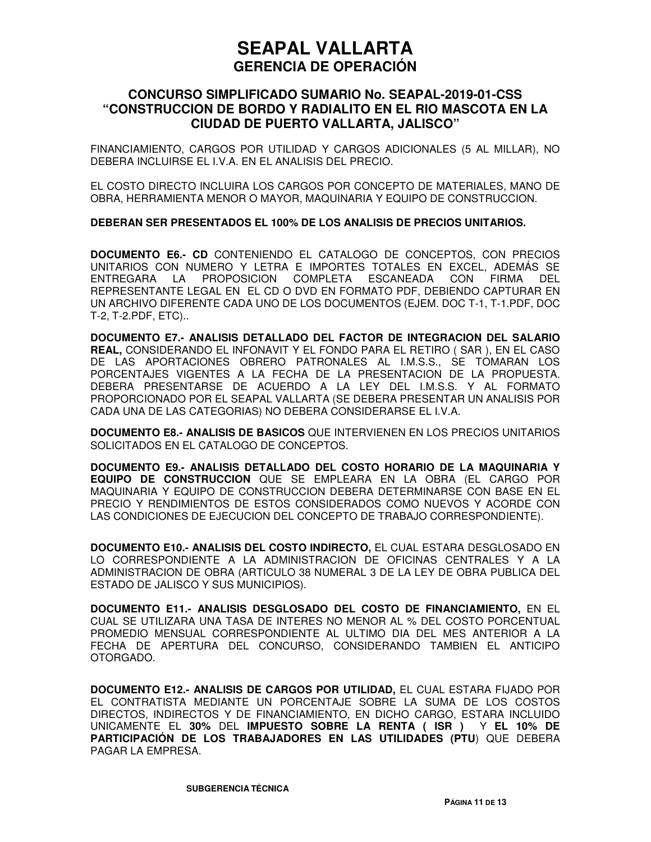### **CONCURSO SIMPLIFICADO SUMARIO No. SEAPAL-2019-01-CSS "CONSTRUCCION DE BORDO Y RADIALITO EN EL RIO MASCOTA EN LA CIUDAD DE PUERTO VALLARTA, JALISCO"**

FINANCIAMIENTO, CARGOS POR UTILIDAD Y CARGOS ADICIONALES (5 AL MILLAR), NO DEBERA INCLUIRSE EL I.V.A. EN EL ANALISIS DEL PRECIO.

EL COSTO DIRECTO INCLUIRA LOS CARGOS POR CONCEPTO DE MATERIALES, MANO DE OBRA, HERRAMIENTA MENOR O MAYOR, MAQUINARIA Y EQUIPO DE CONSTRUCCION.

#### **DEBERAN SER PRESENTADOS EL 100% DE LOS ANALISIS DE PRECIOS UNITARIOS.**

**DOCUMENTO E6.- CD** CONTENIENDO EL CATALOGO DE CONCEPTOS, CON PRECIOS UNITARIOS CON NUMERO Y LETRA E IMPORTES TOTALES EN EXCEL, ADEMÁS SE ENTREGARA LA PROPOSICION COMPLETA ESCANEADA CON FIRMA DEL REPRESENTANTE LEGAL EN EL CD O DVD EN FORMATO PDF, DEBIENDO CAPTURAR EN UN ARCHIVO DIFERENTE CADA UNO DE LOS DOCUMENTOS (EJEM. DOC T-1, T-1.PDF, DOC T-2, T-2.PDF, ETC)..

**DOCUMENTO E7.- ANALISIS DETALLADO DEL FACTOR DE INTEGRACION DEL SALARIO REAL,** CONSIDERANDO EL INFONAVIT Y EL FONDO PARA EL RETIRO ( SAR ), EN EL CASO DE LAS APORTACIONES OBRERO PATRONALES AL I.M.S.S., SE TOMARAN LOS PORCENTAJES VIGENTES A LA FECHA DE LA PRESENTACION DE LA PROPUESTA. DEBERA PRESENTARSE DE ACUERDO A LA LEY DEL I.M.S.S. Y AL FORMATO PROPORCIONADO POR EL SEAPAL VALLARTA (SE DEBERA PRESENTAR UN ANALISIS POR CADA UNA DE LAS CATEGORIAS) NO DEBERA CONSIDERARSE EL I.V.A.

**DOCUMENTO E8.- ANALISIS DE BASICOS** QUE INTERVIENEN EN LOS PRECIOS UNITARIOS SOLICITADOS EN EL CATALOGO DE CONCEPTOS.

**DOCUMENTO E9.- ANALISIS DETALLADO DEL COSTO HORARIO DE LA MAQUINARIA Y EQUIPO DE CONSTRUCCION** QUE SE EMPLEARA EN LA OBRA (EL CARGO POR MAQUINARIA Y EQUIPO DE CONSTRUCCION DEBERA DETERMINARSE CON BASE EN EL PRECIO Y RENDIMIENTOS DE ESTOS CONSIDERADOS COMO NUEVOS Y ACORDE CON LAS CONDICIONES DE EJECUCION DEL CONCEPTO DE TRABAJO CORRESPONDIENTE).

**DOCUMENTO E10.- ANALISIS DEL COSTO INDIRECTO,** EL CUAL ESTARA DESGLOSADO EN LO CORRESPONDIENTE A LA ADMINISTRACION DE OFICINAS CENTRALES Y A LA ADMINISTRACION DE OBRA (ARTICULO 38 NUMERAL 3 DE LA LEY DE OBRA PUBLICA DEL ESTADO DE JALISCO Y SUS MUNICIPIOS).

**DOCUMENTO E11.- ANALISIS DESGLOSADO DEL COSTO DE FINANCIAMIENTO,** EN EL CUAL SE UTILIZARA UNA TASA DE INTERES NO MENOR AL % DEL COSTO PORCENTUAL PROMEDIO MENSUAL CORRESPONDIENTE AL ULTIMO DIA DEL MES ANTERIOR A LA FECHA DE APERTURA DEL CONCURSO, CONSIDERANDO TAMBIEN EL ANTICIPO OTORGADO.

**DOCUMENTO E12.- ANALISIS DE CARGOS POR UTILIDAD,** EL CUAL ESTARA FIJADO POR EL CONTRATISTA MEDIANTE UN PORCENTAJE SOBRE LA SUMA DE LOS COSTOS DIRECTOS, INDIRECTOS Y DE FINANCIAMIENTO, EN DICHO CARGO, ESTARA INCLUIDO UNICAMENTE EL **30%** DEL **IMPUESTO SOBRE LA RENTA ( ISR )** Y **EL 10% DE PARTICIPACIÓN DE LOS TRABAJADORES EN LAS UTILIDADES (PTU**) QUE DEBERA PAGAR LA EMPRESA.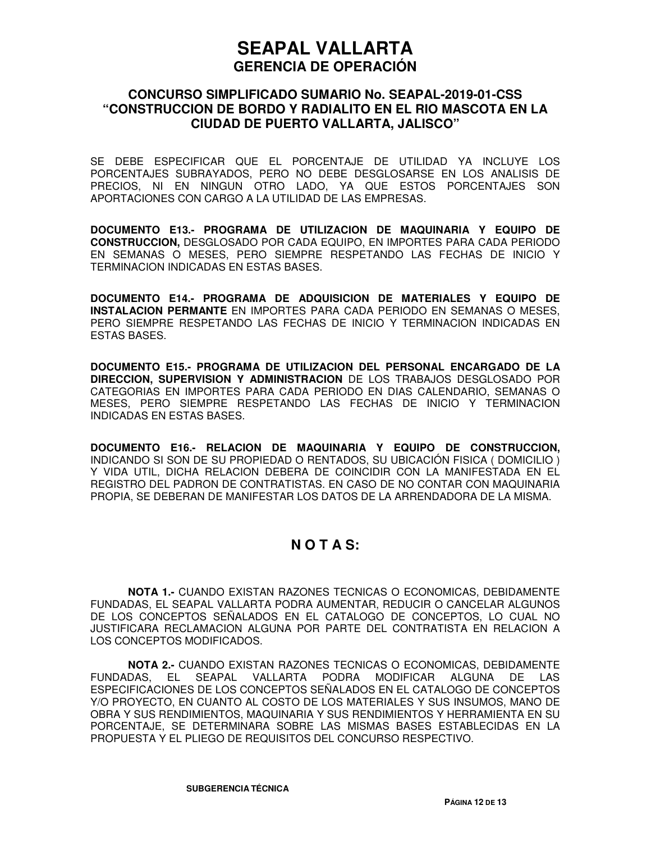### **CONCURSO SIMPLIFICADO SUMARIO No. SEAPAL-2019-01-CSS "CONSTRUCCION DE BORDO Y RADIALITO EN EL RIO MASCOTA EN LA CIUDAD DE PUERTO VALLARTA, JALISCO"**

SE DEBE ESPECIFICAR QUE EL PORCENTAJE DE UTILIDAD YA INCLUYE LOS PORCENTAJES SUBRAYADOS, PERO NO DEBE DESGLOSARSE EN LOS ANALISIS DE PRECIOS, NI EN NINGUN OTRO LADO, YA QUE ESTOS PORCENTAJES SON APORTACIONES CON CARGO A LA UTILIDAD DE LAS EMPRESAS.

**DOCUMENTO E13.- PROGRAMA DE UTILIZACION DE MAQUINARIA Y EQUIPO DE CONSTRUCCION,** DESGLOSADO POR CADA EQUIPO, EN IMPORTES PARA CADA PERIODO EN SEMANAS O MESES, PERO SIEMPRE RESPETANDO LAS FECHAS DE INICIO Y TERMINACION INDICADAS EN ESTAS BASES.

**DOCUMENTO E14.- PROGRAMA DE ADQUISICION DE MATERIALES Y EQUIPO DE INSTALACION PERMANTE** EN IMPORTES PARA CADA PERIODO EN SEMANAS O MESES, PERO SIEMPRE RESPETANDO LAS FECHAS DE INICIO Y TERMINACION INDICADAS EN ESTAS BASES.

**DOCUMENTO E15.- PROGRAMA DE UTILIZACION DEL PERSONAL ENCARGADO DE LA DIRECCION, SUPERVISION Y ADMINISTRACION** DE LOS TRABAJOS DESGLOSADO POR CATEGORIAS EN IMPORTES PARA CADA PERIODO EN DIAS CALENDARIO, SEMANAS O MESES, PERO SIEMPRE RESPETANDO LAS FECHAS DE INICIO Y TERMINACION INDICADAS EN ESTAS BASES.

**DOCUMENTO E16.- RELACION DE MAQUINARIA Y EQUIPO DE CONSTRUCCION,** INDICANDO SI SON DE SU PROPIEDAD O RENTADOS, SU UBICACIÓN FISICA ( DOMICILIO ) Y VIDA UTIL, DICHA RELACION DEBERA DE COINCIDIR CON LA MANIFESTADA EN EL REGISTRO DEL PADRON DE CONTRATISTAS. EN CASO DE NO CONTAR CON MAQUINARIA PROPIA, SE DEBERAN DE MANIFESTAR LOS DATOS DE LA ARRENDADORA DE LA MISMA.

## **N O T A S:**

**NOTA 1.-** CUANDO EXISTAN RAZONES TECNICAS O ECONOMICAS, DEBIDAMENTE FUNDADAS, EL SEAPAL VALLARTA PODRA AUMENTAR, REDUCIR O CANCELAR ALGUNOS DE LOS CONCEPTOS SEÑALADOS EN EL CATALOGO DE CONCEPTOS, LO CUAL NO JUSTIFICARA RECLAMACION ALGUNA POR PARTE DEL CONTRATISTA EN RELACION A LOS CONCEPTOS MODIFICADOS.

**NOTA 2.-** CUANDO EXISTAN RAZONES TECNICAS O ECONOMICAS, DEBIDAMENTE FUNDADAS, EL SEAPAL VALLARTA PODRA MODIFICAR ALGUNA DE LAS ESPECIFICACIONES DE LOS CONCEPTOS SEÑALADOS EN EL CATALOGO DE CONCEPTOS Y/O PROYECTO, EN CUANTO AL COSTO DE LOS MATERIALES Y SUS INSUMOS, MANO DE OBRA Y SUS RENDIMIENTOS, MAQUINARIA Y SUS RENDIMIENTOS Y HERRAMIENTA EN SU PORCENTAJE, SE DETERMINARA SOBRE LAS MISMAS BASES ESTABLECIDAS EN LA PROPUESTA Y EL PLIEGO DE REQUISITOS DEL CONCURSO RESPECTIVO.